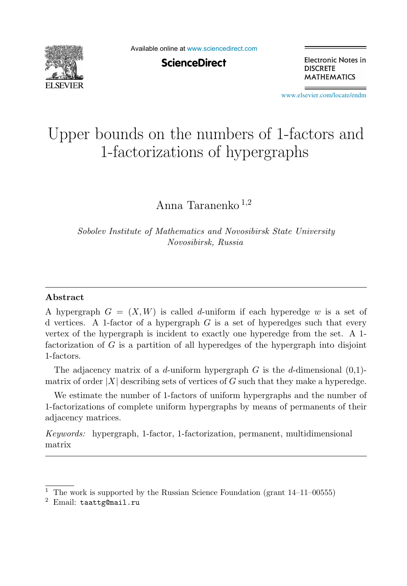

Available online at [www.sciencedirect.com](http://www.sciencedirect.com)

**ScienceDirect** 

Electronic Notes in **DISCRETE MATHEMATICS** 

[www.elsevier.com/locate/endm](http://www.elsevier.com/locate/endm)

# Upper bounds on the numbers of 1-factors and 1-factorizations of hypergraphs

Anna Taranenko <sup>1</sup>,<sup>2</sup>

*Sobolev Institute of Mathematics and Novosibirsk State University Novosibirsk, Russia*

#### **Abstract**

A hypergraph  $G = (X, W)$  is called d-uniform if each hyperedge w is a set of d vertices. A 1-factor of a hypergraph  $G$  is a set of hyperedges such that every vertex of the hypergraph is incident to exactly one hyperedge from the set. A 1 factorization of G is a partition of all hyperedges of the hypergraph into disjoint 1-factors.

The adjacency matrix of a d-uniform hypergraph G is the d-dimensional  $(0,1)$ matrix of order  $|X|$  describing sets of vertices of G such that they make a hyperedge.

We estimate the number of 1-factors of uniform hypergraphs and the number of 1-factorizations of complete uniform hypergraphs by means of permanents of their adjacency matrices.

*Keywords:* hypergraph, 1-factor, 1-factorization, permanent, multidimensional matrix

<sup>&</sup>lt;sup>1</sup> The work is supported by the Russian Science Foundation (grant  $14-11-00555$ )

 $2$  Email: taattg@mail.ru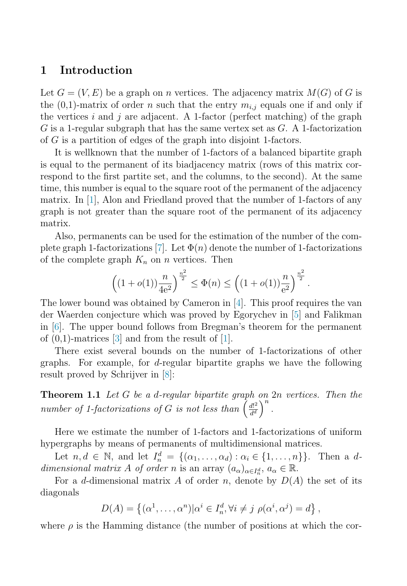#### <span id="page-1-0"></span>**1 Introduction**

Let  $G = (V, E)$  be a graph on *n* vertices. The adjacency matrix  $M(G)$  of G is the  $(0,1)$ -matrix of order n such that the entry  $m_{i,j}$  equals one if and only if the vertices i and j are adjacent. A 1-factor (perfect matching) of the graph  $G$  is a 1-regular subgraph that has the same vertex set as  $G$ . A 1-factorization of G is a partition of edges of the graph into disjoint 1-factors.

It is wellknown that the number of 1-factors of a balanced bipartite graph is equal to the permanent of its biadjacency matrix (rows of this matrix correspond to the first partite set, and the columns, to the second). At the same time, this number is equal to the square root of the permanent of the adjacency matrix. In [\[1\]](#page-7-0), Alon and Friedland proved that the number of 1-factors of any graph is not greater than the square root of the permanent of its adjacency matrix.

Also, permanents can be used for the estimation of the number of the com-plete graph 1-factorizations [\[7\]](#page-7-0). Let  $\Phi(n)$  denote the number of 1-factorizations of the complete graph  $K_n$  on n vertices. Then

$$
\left((1+o(1))\frac{n}{4e^2}\right)^{\frac{n^2}{2}} \leq \Phi(n) \leq \left((1+o(1))\frac{n}{e^2}\right)^{\frac{n^2}{2}}.
$$

The lower bound was obtained by Cameron in [\[4\]](#page-7-0). This proof requires the van der Waerden conjecture which was proved by Egorychev in [\[5\]](#page-7-0) and Falikman in [\[6\]](#page-7-0). The upper bound follows from Bregman's theorem for the permanent of  $(0,1)$ -matrices  $[3]$  and from the result of  $[1]$ .

There exist several bounds on the number of 1-factorizations of other graphs. For example, for d-regular bipartite graphs we have the following result proved by Schrijver in [\[8\]](#page-7-0):

**Theorem 1.1** Let G be a d-regular bipartite graph on 2n vertices. Then the number of 1-factorizations of G is not less than  $\left(\frac{d!^2}{d^d}\right)^n$ .

Here we estimate the number of 1-factors and 1-factorizations of uniform hypergraphs by means of permanents of multidimensional matrices.

Let  $n, d \in \mathbb{N}$ , and let  $I_n^d = \{(\alpha_1, \ldots, \alpha_d) : \alpha_i \in \{1, \ldots, n\}\}\.$  Then a ddimensional matrix A of order n is an array  $(a_{\alpha})_{\alpha \in I_n^d}$ ,  $a_{\alpha} \in \mathbb{R}$ .

For a d-dimensional matrix A of order n, denote by  $D(A)$  the set of its diagonals

$$
D(A) = \left\{ (\alpha^1, \dots, \alpha^n) | \alpha^i \in I_n^d, \forall i \neq j \ \rho(\alpha^i, \alpha^j) = d \right\},\
$$

where  $\rho$  is the Hamming distance (the number of positions at which the cor-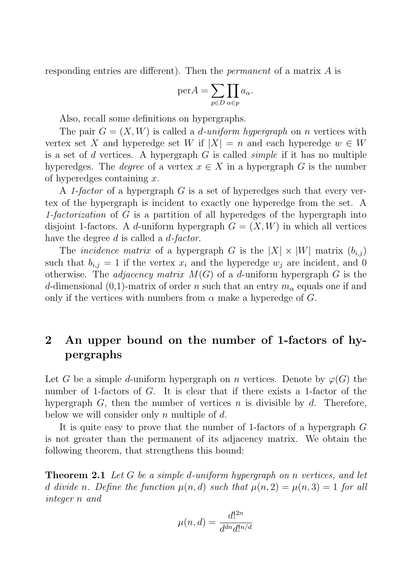<span id="page-2-0"></span>responding entries are different). Then the *permanent* of a matrix A is

$$
\text{per}A = \sum_{p \in D} \prod_{\alpha \in p} a_{\alpha}.
$$

Also, recall some definitions on hypergraphs.

The pair  $G = (X, W)$  is called a *d-uniform hypergraph* on *n* vertices with vertex set X and hyperedge set W if  $|X| = n$  and each hyperedge  $w \in W$ is a set of d vertices. A hypergraph  $G$  is called *simple* if it has no multiple hyperedges. The *degree* of a vertex  $x \in X$  in a hypergraph G is the number of hyperedges containing  $x$ .

A 1-factor of a hypergraph  $G$  is a set of hyperedges such that every vertex of the hypergraph is incident to exactly one hyperedge from the set. A 1-factorization of  $G$  is a partition of all hyperedges of the hypergraph into disjoint 1-factors. A d-uniform hypergraph  $G = (X, W)$  in which all vertices have the degree d is called a d-factor.

The *incidence matrix* of a hypergraph G is the  $|X| \times |W|$  matrix  $(b_{i,j})$ such that  $b_{i,j} = 1$  if the vertex  $x_i$  and the hyperedge  $w_i$  are incident, and 0 otherwise. The *adjacency matrix*  $M(G)$  of a *d*-uniform hypergraph G is the d-dimensional (0,1)-matrix of order n such that an entry  $m_{\alpha}$  equals one if and only if the vertices with numbers from  $\alpha$  make a hyperedge of G.

# **2 An upper bound on the number of 1-factors of hypergraphs**

Let G be a simple d-uniform hypergraph on n vertices. Denote by  $\varphi(G)$  the number of 1-factors of  $G$ . It is clear that if there exists a 1-factor of the hypergraph  $G$ , then the number of vertices n is divisible by  $d$ . Therefore, below we will consider only n multiple of  $d$ .

It is quite easy to prove that the number of 1-factors of a hypergraph G is not greater than the permanent of its adjacency matrix. We obtain the following theorem, that strengthens this bound:

**Theorem 2.1** Let G be a simple d-uniform hypergraph on n vertices, and let d divide n. Define the function  $\mu(n, d)$  such that  $\mu(n, 2) = \mu(n, 3) = 1$  for all integer n and

$$
\mu(n,d) = \frac{d!^{2n}}{d^{dn}d!^{n/d}}
$$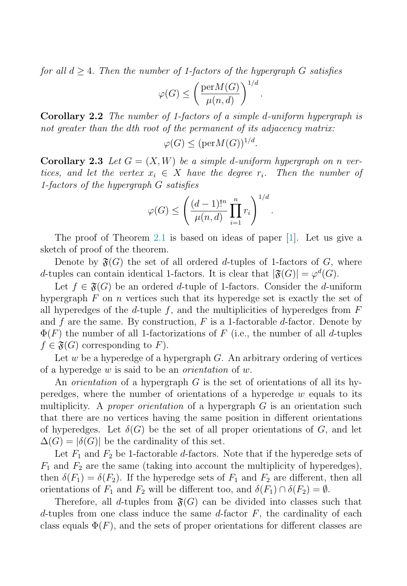for all  $d > 4$ . Then the number of 1-factors of the hypergraph G satisfies

$$
\varphi(G) \le \left(\frac{\text{per}M(G)}{\mu(n,d)}\right)^{1/d}
$$

.

**Corollary 2.2** The number of 1-factors of a simple d-uniform hypergraph is not greater than the dth root of the permanent of its adjacency matrix:

 $\varphi(G) \leq (\text{per}M(G))^{1/d}.$ 

**Corollary 2.3** Let  $G = (X, W)$  be a simple d-uniform hypergraph on n vertices, and let the vertex  $x_i \in X$  have the degree  $r_i$ . Then the number of 1-factors of the hypergraph G satisfies

$$
\varphi(G) \le \left(\frac{(d-1)!^n}{\mu(n,d)}\prod_{i=1}^n r_i\right)^{1/d}.
$$

The proof of Theorem [2.1](#page-2-0) is based on ideas of paper [\[1\]](#page-7-0). Let us give a sketch of proof of the theorem.

Denote by  $\mathfrak{F}(G)$  the set of all ordered d-tuples of 1-factors of G, where d-tuples can contain identical 1-factors. It is clear that  $|\mathfrak{F}(G)| = \varphi^d(G)$ .

Let  $f \in \mathfrak{F}(G)$  be an ordered d-tuple of 1-factors. Consider the d-uniform hypergraph  $F$  on n vertices such that its hyperedge set is exactly the set of all hyperedges of the  $d$ -tuple  $f$ , and the multiplicities of hyperedges from  $F$ and f are the same. By construction,  $F$  is a 1-factorable d-factor. Denote by  $\Phi(F)$  the number of all 1-factorizations of F (i.e., the number of all d-tuples  $f \in \mathfrak{F}(G)$  corresponding to F).

Let w be a hyperedge of a hypergraph  $G$ . An arbitrary ordering of vertices of a hyperedge w is said to be an orientation of w.

An *orientation* of a hypergraph  $G$  is the set of orientations of all its hyperedges, where the number of orientations of a hyperedge  $w$  equals to its multiplicity. A proper orientation of a hypergraph  $G$  is an orientation such that there are no vertices having the same position in different orientations of hyperedges. Let  $\delta(G)$  be the set of all proper orientations of G, and let  $\Delta(G) = |\delta(G)|$  be the cardinality of this set.

Let  $F_1$  and  $F_2$  be 1-factorable d-factors. Note that if the hyperedge sets of  $F_1$  and  $F_2$  are the same (taking into account the multiplicity of hyperedges), then  $\delta(F_1) = \delta(F_2)$ . If the hyperedge sets of  $F_1$  and  $F_2$  are different, then all orientations of  $F_1$  and  $F_2$  will be different too, and  $\delta(F_1) \cap \delta(F_2) = \emptyset$ .

Therefore, all d-tuples from  $\mathfrak{F}(G)$  can be divided into classes such that d-tuples from one class induce the same d-factor  $F$ , the cardinality of each class equals  $\Phi(F)$ , and the sets of proper orientations for different classes are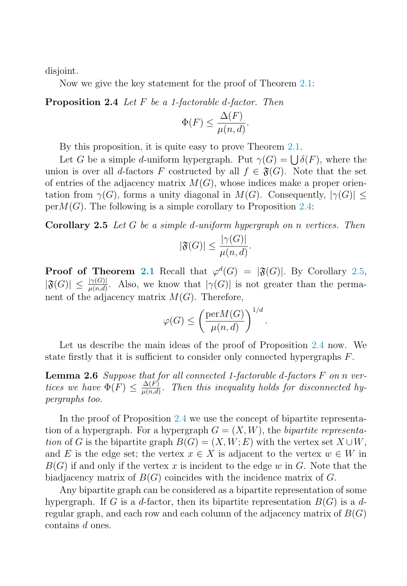<span id="page-4-0"></span>disjoint.

Now we give the key statement for the proof of Theorem [2.1:](#page-2-0)

**Proposition 2.4** Let F be a 1-factorable d-factor. Then

$$
\Phi(F) \le \frac{\Delta(F)}{\mu(n, d)}.
$$

By this proposition, it is quite easy to prove Theorem [2.1.](#page-2-0)

Let G be a simple d-uniform hypergraph. Put  $\gamma(G) = \bigcup \delta(F)$ , where the union is over all d-factors F costructed by all  $f \in \mathfrak{F}(G)$ . Note that the set of entries of the adjacency matrix  $M(G)$ , whose indices make a proper orientation from  $\gamma(G)$ , forms a unity diagonal in  $M(G)$ . Consequently,  $|\gamma(G)| \leq$  $per M(G)$ . The following is a simple corollary to Proposition 2.4:

**Corollary 2.5** Let G be a simple d-uniform hypergraph on n vertices. Then

$$
|\mathfrak{F}(G)| \le \frac{|\gamma(G)|}{\mu(n,d)}.
$$

**Proof of Theorem [2.1](#page-2-0)** Recall that  $\varphi^d(G) = |\mathfrak{F}(G)|$ . By Corollary 2.5,  $|\mathfrak{F}(G)| \leq \frac{|\gamma(G)|}{\mu(n,d)}$ . Also, we know that  $|\gamma(G)|$  is not greater than the permanent of the adjacency matrix  $M(G)$ . Therefore,

$$
\varphi(G) \le \left(\frac{\mathrm{per} M(G)}{\mu(n,d)}\right)^{1/d}.
$$

Let us describe the main ideas of the proof of Proposition 2.4 now. We state firstly that it is sufficient to consider only connected hypergraphs F.

**Lemma 2.6** Suppose that for all connected 1-factorable d-factors F on n vertices we have  $\Phi(F) \leq \frac{\Delta(F)}{\mu(n,d)}$ . Then this inequality holds for disconnected hypergraphs too.

In the proof of Proposition 2.4 we use the concept of bipartite representation of a hypergraph. For a hypergraph  $G = (X, W)$ , the bipartite representation of G is the bipartite graph  $B(G)=(X,W; E)$  with the vertex set  $X \cup W$ , and E is the edge set; the vertex  $x \in X$  is adjacent to the vertex  $w \in W$  in  $B(G)$  if and only if the vertex x is incident to the edge w in G. Note that the biadjacency matrix of  $B(G)$  coincides with the incidence matrix of G.

Any bipartite graph can be considered as a bipartite representation of some hypergraph. If G is a d-factor, then its bipartite representation  $B(G)$  is a dregular graph, and each row and each column of the adjacency matrix of  $B(G)$ contains d ones.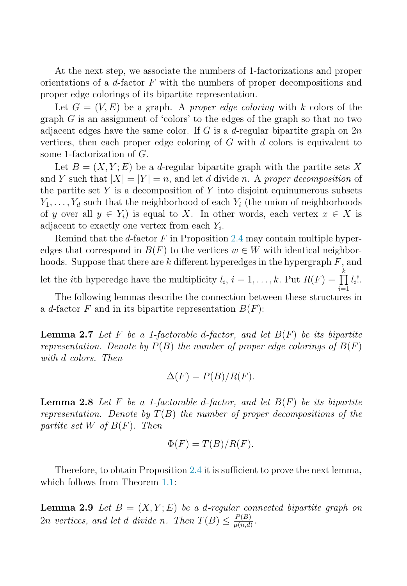At the next step, we associate the numbers of 1-factorizations and proper orientations of a  $d$ -factor  $F$  with the numbers of proper decompositions and proper edge colorings of its bipartite representation.

Let  $G = (V, E)$  be a graph. A proper edge coloring with k colors of the graph  $G$  is an assignment of 'colors' to the edges of the graph so that no two adjacent edges have the same color. If G is a d-regular bipartite graph on  $2n$ vertices, then each proper edge coloring of  $G$  with  $d$  colors is equivalent to some 1-factorization of G.

Let  $B = (X, Y; E)$  be a d-regular bipartite graph with the partite sets X and Y such that  $|X| = |Y| = n$ , and let d divide n. A proper decomposition of the partite set Y is a decomposition of Y into disjoint equinumerous subsets  $Y_1, \ldots, Y_d$  such that the neighborhood of each  $Y_i$  (the union of neighborhoods of y over all  $y \in Y_i$  is equal to X. In other words, each vertex  $x \in X$  is adjacent to exactly one vertex from each  $Y_i$ .

Remind that the d-factor  $F$  in Proposition [2.4](#page-4-0) may contain multiple hyperedges that correspond in  $B(F)$  to the vertices  $w \in W$  with identical neighborhoods. Suppose that there are  $k$  different hyperedges in the hypergraph  $F$ , and let the *i*th hyperedge have the multiplicity  $l_i$ ,  $i = 1, ..., k$ . Put  $R(F) = \prod_{i=1}^{k}$  $\bar{i}=1$  $l_i!$ .

The following lemmas describe the connection between these structures in a d-factor F and in its bipartite representation  $B(F)$ :

**Lemma 2.7** Let F be a 1-factorable d-factor, and let  $B(F)$  be its bipartite representation. Denote by  $P(B)$  the number of proper edge colorings of  $B(F)$ with d colors. Then

$$
\Delta(F) = P(B)/R(F).
$$

**Lemma 2.8** Let F be a 1-factorable d-factor, and let  $B(F)$  be its bipartite representation. Denote by  $T(B)$  the number of proper decompositions of the partite set W of  $B(F)$ . Then

$$
\Phi(F) = T(B)/R(F).
$$

Therefore, to obtain Proposition [2.4](#page-4-0) it is sufficient to prove the next lemma, which follows from Theorem [1.1:](#page-1-0)

**Lemma 2.9** Let  $B = (X, Y; E)$  be a d-regular connected bipartite graph on 2n vertices, and let d divide n. Then  $T(B) \leq \frac{P(B)}{\mu(n,d)}$ .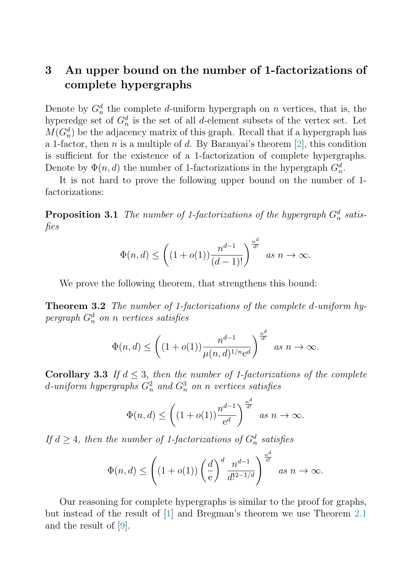## **3 An upper bound on the number of 1-factorizations of complete hypergraphs**

Denote by  $G_n^d$  the complete d-uniform hypergraph on n vertices, that is, the hyperedge set of  $G_n^d$  is the set of all d-element subsets of the vertex set. Let  $M(G_n^d)$  be the adjacency matrix of this graph. Recall that if a hypergraph has a 1-factor, then n is a multiple of d. By Baranyai's theorem [\[2\]](#page-7-0), this condition is sufficient for the existence of a 1-factorization of complete hypergraphs. Denote by  $\Phi(n, d)$  the number of 1-factorizations in the hypergraph  $G_n^d$ .

It is not hard to prove the following upper bound on the number of 1 factorizations:

**Proposition 3.1** The number of 1-factorizations of the hypergraph  $G_n^d$  satisfies

$$
\Phi(n,d) \le \left( (1+o(1)) \frac{n^{d-1}}{(d-1)!} \right)^{\frac{n^d}{d!}} \text{ as } n \to \infty.
$$

We prove the following theorem, that strengthens this bound:

**Theorem 3.2** The number of 1-factorizations of the complete d-uniform hypergraph  $G_n^d$  on n vertices satisfies

$$
\Phi(n,d) \le \left( (1+o(1)) \frac{n^{d-1}}{\mu(n,d)^{1/n} e^d} \right)^{\frac{n^d}{d!}} \text{ as } n \to \infty.
$$

**Corollary 3.3** If  $d \leq 3$ , then the number of 1-factorizations of the complete d-uniform hypergraphs  $G_n^2$  and  $G_n^3$  on n vertices satisfies

$$
\Phi(n,d) \le \left( (1+o(1)) \frac{n^{d-1}}{e^d} \right)^{\frac{n^d}{d!}} \text{ as } n \to \infty.
$$

If  $d \geq 4$ , then the number of 1-factorizations of  $G_n^d$  satisfies

$$
\Phi(n,d) \leq \left((1+o(1))\left(\frac{d}{e}\right)^d \frac{n^{d-1}}{d!^{2-1/d}}\right)^{\frac{n^d}{d!}} \text{ as } n \to \infty.
$$

Our reasoning for complete hypergraphs is similar to the proof for graphs, but instead of the result of [\[1\]](#page-7-0) and Bregman's theorem we use Theorem [2.1](#page-2-0) and the result of [\[9\]](#page-7-0).